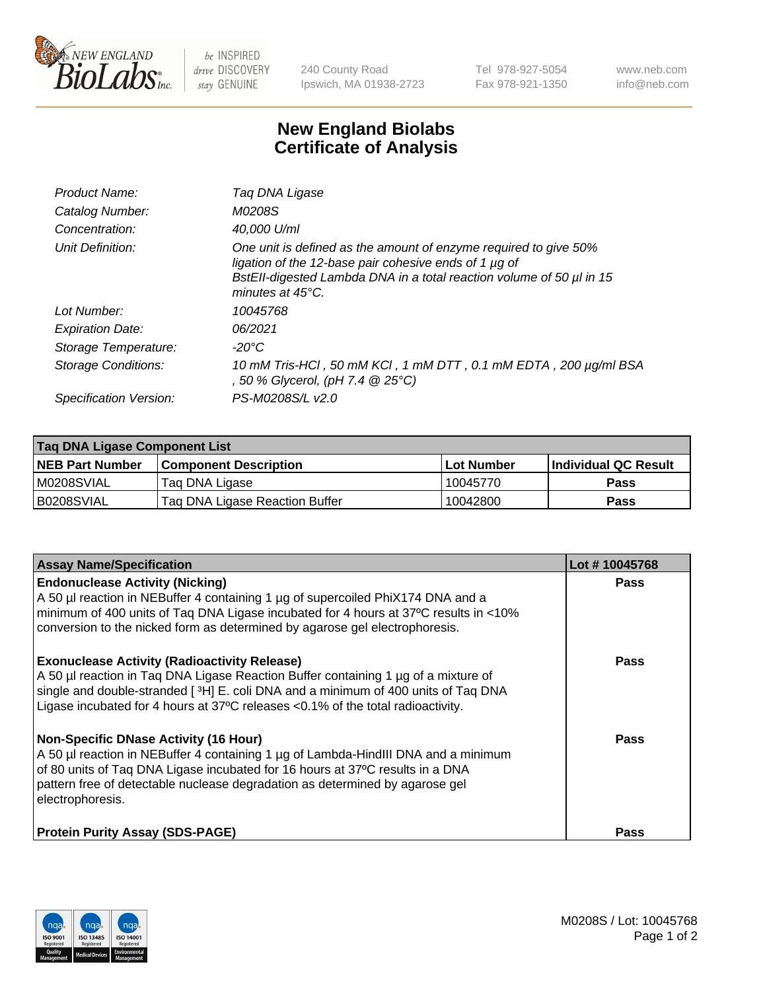

 $be$  INSPIRED drive DISCOVERY stay GENUINE

240 County Road Ipswich, MA 01938-2723 Tel 978-927-5054 Fax 978-921-1350 www.neb.com info@neb.com

## **New England Biolabs Certificate of Analysis**

| Product Name:              | Tag DNA Ligase                                                                                                                                                                                                                  |
|----------------------------|---------------------------------------------------------------------------------------------------------------------------------------------------------------------------------------------------------------------------------|
| Catalog Number:            | M0208S                                                                                                                                                                                                                          |
| Concentration:             | 40,000 U/ml                                                                                                                                                                                                                     |
| Unit Definition:           | One unit is defined as the amount of enzyme required to give 50%<br>ligation of the 12-base pair cohesive ends of 1 µg of<br>BstEll-digested Lambda DNA in a total reaction volume of 50 µl in 15<br>minutes at $45^{\circ}$ C. |
| Lot Number:                | 10045768                                                                                                                                                                                                                        |
| <b>Expiration Date:</b>    | 06/2021                                                                                                                                                                                                                         |
| Storage Temperature:       | -20°C                                                                                                                                                                                                                           |
| <b>Storage Conditions:</b> | 10 mM Tris-HCl, 50 mM KCl, 1 mM DTT, 0.1 mM EDTA, 200 µg/ml BSA<br>, 50 % Glycerol, (pH 7.4 @ 25°C)                                                                                                                             |
| Specification Version:     | PS-M0208S/L v2.0                                                                                                                                                                                                                |

| Taq DNA Ligase Component List |                                |            |                      |  |
|-------------------------------|--------------------------------|------------|----------------------|--|
| <b>NEB Part Number</b>        | <b>Component Description</b>   | Lot Number | Individual QC Result |  |
| IM0208SVIAL                   | Tag DNA Ligase                 | 10045770   | <b>Pass</b>          |  |
| B0208SVIAL                    | Taq DNA Ligase Reaction Buffer | 10042800   | Pass                 |  |

| <b>Assay Name/Specification</b>                                                                                                                                                                                                                                                                                         | Lot #10045768 |
|-------------------------------------------------------------------------------------------------------------------------------------------------------------------------------------------------------------------------------------------------------------------------------------------------------------------------|---------------|
| <b>Endonuclease Activity (Nicking)</b><br>A 50 µl reaction in NEBuffer 4 containing 1 µg of supercoiled PhiX174 DNA and a<br>minimum of 400 units of Taq DNA Ligase incubated for 4 hours at 37°C results in <10%<br>conversion to the nicked form as determined by agarose gel electrophoresis.                        | <b>Pass</b>   |
| <b>Exonuclease Activity (Radioactivity Release)</b><br>A 50 µl reaction in Taq DNA Ligase Reaction Buffer containing 1 µg of a mixture of<br>single and double-stranded [3H] E. coli DNA and a minimum of 400 units of Taq DNA<br>Ligase incubated for 4 hours at 37°C releases <0.1% of the total radioactivity.       | <b>Pass</b>   |
| <b>Non-Specific DNase Activity (16 Hour)</b><br>A 50 µl reaction in NEBuffer 4 containing 1 µg of Lambda-HindIII DNA and a minimum<br>of 80 units of Taq DNA Ligase incubated for 16 hours at 37°C results in a DNA<br>pattern free of detectable nuclease degradation as determined by agarose gel<br>electrophoresis. | <b>Pass</b>   |
| <b>Protein Purity Assay (SDS-PAGE)</b>                                                                                                                                                                                                                                                                                  | <b>Pass</b>   |